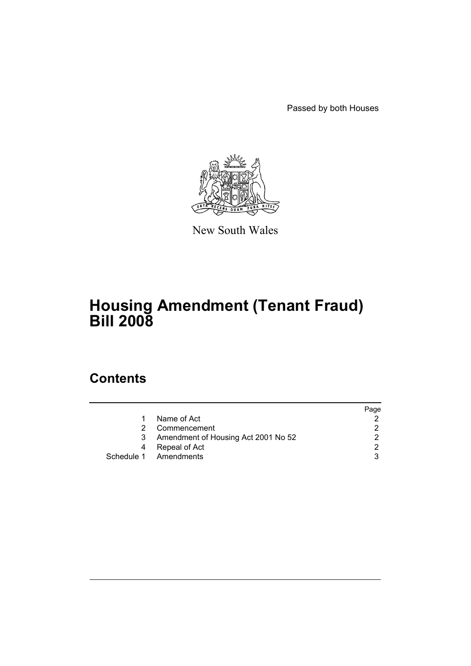Passed by both Houses



New South Wales

# **Housing Amendment (Tenant Fraud) Bill 2008**

# **Contents**

|    |                                     | Page |
|----|-------------------------------------|------|
| 1. | Name of Act                         |      |
| 2. | Commencement                        |      |
| 3  | Amendment of Housing Act 2001 No 52 |      |
| 4  | Repeal of Act                       |      |
|    | Schedule 1 Amendments               |      |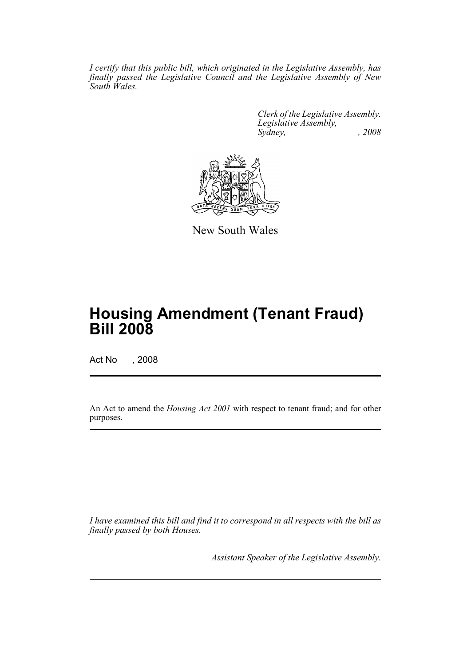*I certify that this public bill, which originated in the Legislative Assembly, has finally passed the Legislative Council and the Legislative Assembly of New South Wales.*

> *Clerk of the Legislative Assembly. Legislative Assembly, Sydney, , 2008*



New South Wales

# **Housing Amendment (Tenant Fraud) Bill 2008**

Act No , 2008

An Act to amend the *Housing Act 2001* with respect to tenant fraud; and for other purposes.

*I have examined this bill and find it to correspond in all respects with the bill as finally passed by both Houses.*

*Assistant Speaker of the Legislative Assembly.*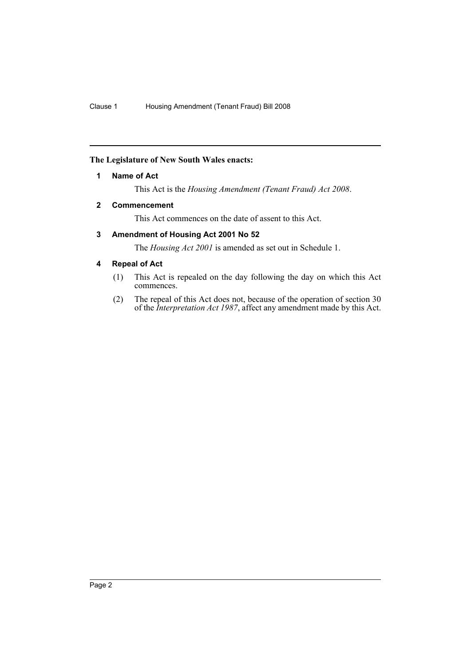## <span id="page-2-0"></span>**The Legislature of New South Wales enacts:**

## **1 Name of Act**

This Act is the *Housing Amendment (Tenant Fraud) Act 2008*.

## <span id="page-2-1"></span>**2 Commencement**

This Act commences on the date of assent to this Act.

## <span id="page-2-2"></span>**3 Amendment of Housing Act 2001 No 52**

The *Housing Act 2001* is amended as set out in Schedule 1.

## <span id="page-2-3"></span>**4 Repeal of Act**

- (1) This Act is repealed on the day following the day on which this Act commences.
- (2) The repeal of this Act does not, because of the operation of section 30 of the *Interpretation Act 1987*, affect any amendment made by this Act.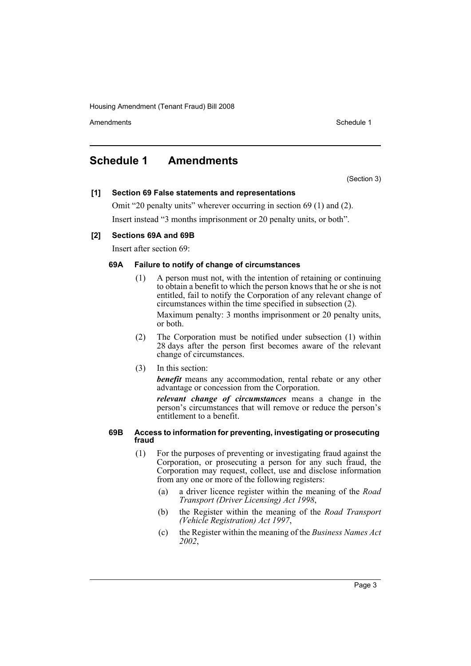Amendments **Schedule 1** and the set of the set of the set of the set of the set of the set of the set of the set of the set of the set of the set of the set of the set of the set of the set of the set of the set of the set

## <span id="page-3-0"></span>**Schedule 1 Amendments**

(Section 3)

## **[1] Section 69 False statements and representations**

Omit "20 penalty units" wherever occurring in section 69 (1) and (2). Insert instead "3 months imprisonment or 20 penalty units, or both".

## **[2] Sections 69A and 69B**

Insert after section 69:

## **69A Failure to notify of change of circumstances**

(1) A person must not, with the intention of retaining or continuing to obtain a benefit to which the person knows that he or she is not entitled, fail to notify the Corporation of any relevant change of circumstances within the time specified in subsection (2). Maximum penalty: 3 months imprisonment or 20 penalty units,

or both.

- (2) The Corporation must be notified under subsection (1) within 28 days after the person first becomes aware of the relevant change of circumstances.
- (3) In this section:

*benefit* means any accommodation, rental rebate or any other advantage or concession from the Corporation.

*relevant change of circumstances* means a change in the person's circumstances that will remove or reduce the person's entitlement to a benefit.

### **69B Access to information for preventing, investigating or prosecuting fraud**

- (1) For the purposes of preventing or investigating fraud against the Corporation, or prosecuting a person for any such fraud, the Corporation may request, collect, use and disclose information from any one or more of the following registers:
	- (a) a driver licence register within the meaning of the *Road Transport (Driver Licensing) Act 1998*,
	- (b) the Register within the meaning of the *Road Transport (Vehicle Registration) Act 1997*,
	- (c) the Register within the meaning of the *Business Names Act 2002*,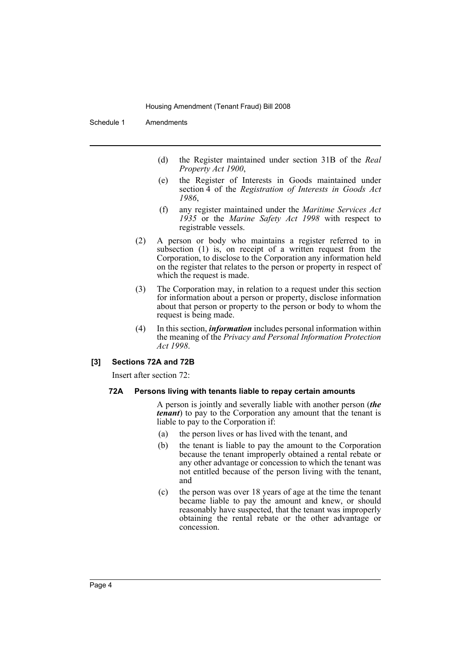Schedule 1 Amendments

- (d) the Register maintained under section 31B of the *Real Property Act 1900*,
- (e) the Register of Interests in Goods maintained under section 4 of the *Registration of Interests in Goods Act 1986*,
- (f) any register maintained under the *Maritime Services Act 1935* or the *Marine Safety Act 1998* with respect to registrable vessels.
- (2) A person or body who maintains a register referred to in subsection (1) is, on receipt of a written request from the Corporation, to disclose to the Corporation any information held on the register that relates to the person or property in respect of which the request is made.
- (3) The Corporation may, in relation to a request under this section for information about a person or property, disclose information about that person or property to the person or body to whom the request is being made.
- (4) In this section, *information* includes personal information within the meaning of the *Privacy and Personal Information Protection Act 1998*.

### **[3] Sections 72A and 72B**

Insert after section 72:

#### **72A Persons living with tenants liable to repay certain amounts**

A person is jointly and severally liable with another person (*the tenant*) to pay to the Corporation any amount that the tenant is liable to pay to the Corporation if:

- (a) the person lives or has lived with the tenant, and
- (b) the tenant is liable to pay the amount to the Corporation because the tenant improperly obtained a rental rebate or any other advantage or concession to which the tenant was not entitled because of the person living with the tenant, and
- (c) the person was over 18 years of age at the time the tenant became liable to pay the amount and knew, or should reasonably have suspected, that the tenant was improperly obtaining the rental rebate or the other advantage or concession.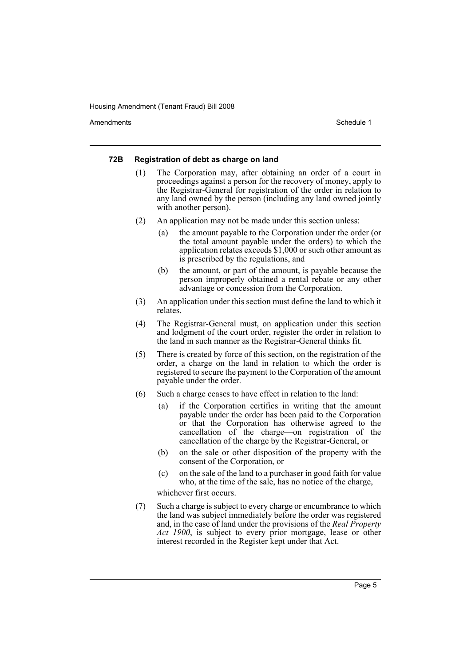Amendments **Amendments** Schedule 1

#### **72B Registration of debt as charge on land**

- (1) The Corporation may, after obtaining an order of a court in proceedings against a person for the recovery of money, apply to the Registrar-General for registration of the order in relation to any land owned by the person (including any land owned jointly with another person).
- (2) An application may not be made under this section unless:
	- (a) the amount payable to the Corporation under the order (or the total amount payable under the orders) to which the application relates exceeds \$1,000 or such other amount as is prescribed by the regulations, and
	- (b) the amount, or part of the amount, is payable because the person improperly obtained a rental rebate or any other advantage or concession from the Corporation.
- (3) An application under this section must define the land to which it relates.
- (4) The Registrar-General must, on application under this section and lodgment of the court order, register the order in relation to the land in such manner as the Registrar-General thinks fit.
- (5) There is created by force of this section, on the registration of the order, a charge on the land in relation to which the order is registered to secure the payment to the Corporation of the amount payable under the order.
- (6) Such a charge ceases to have effect in relation to the land:
	- (a) if the Corporation certifies in writing that the amount payable under the order has been paid to the Corporation or that the Corporation has otherwise agreed to the cancellation of the charge—on registration of the cancellation of the charge by the Registrar-General, or
	- (b) on the sale or other disposition of the property with the consent of the Corporation, or
	- (c) on the sale of the land to a purchaser in good faith for value who, at the time of the sale, has no notice of the charge,

whichever first occurs.

(7) Such a charge is subject to every charge or encumbrance to which the land was subject immediately before the order was registered and, in the case of land under the provisions of the *Real Property Act 1900*, is subject to every prior mortgage, lease or other interest recorded in the Register kept under that Act.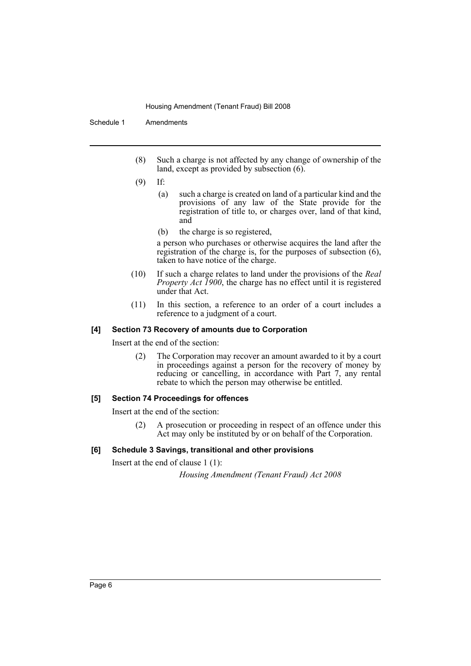Schedule 1 Amendments

- (8) Such a charge is not affected by any change of ownership of the land, except as provided by subsection (6).
- (9) If:
	- (a) such a charge is created on land of a particular kind and the provisions of any law of the State provide for the registration of title to, or charges over, land of that kind, and
	- (b) the charge is so registered,

a person who purchases or otherwise acquires the land after the registration of the charge is, for the purposes of subsection (6), taken to have notice of the charge.

- (10) If such a charge relates to land under the provisions of the *Real Property Act 1900*, the charge has no effect until it is registered under that Act.
- (11) In this section, a reference to an order of a court includes a reference to a judgment of a court.

## **[4] Section 73 Recovery of amounts due to Corporation**

Insert at the end of the section:

(2) The Corporation may recover an amount awarded to it by a court in proceedings against a person for the recovery of money by reducing or cancelling, in accordance with Part 7, any rental rebate to which the person may otherwise be entitled.

## **[5] Section 74 Proceedings for offences**

Insert at the end of the section:

(2) A prosecution or proceeding in respect of an offence under this Act may only be instituted by or on behalf of the Corporation.

## **[6] Schedule 3 Savings, transitional and other provisions**

Insert at the end of clause 1 (1):

*Housing Amendment (Tenant Fraud) Act 2008*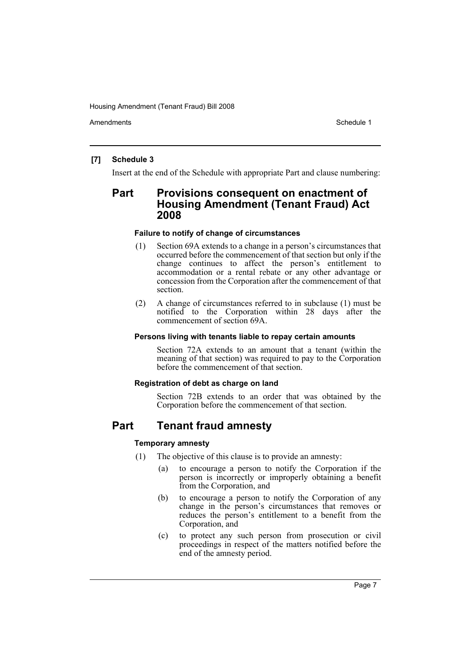Amendments **Schedule 1** and the set of the set of the set of the set of the set of the set of the set of the set of the set of the set of the set of the set of the set of the set of the set of the set of the set of the set

## **[7] Schedule 3**

Insert at the end of the Schedule with appropriate Part and clause numbering:

## **Part Provisions consequent on enactment of Housing Amendment (Tenant Fraud) Act 2008**

## **Failure to notify of change of circumstances**

- (1) Section 69A extends to a change in a person's circumstances that occurred before the commencement of that section but only if the change continues to affect the person's entitlement to accommodation or a rental rebate or any other advantage or concession from the Corporation after the commencement of that section.
- (2) A change of circumstances referred to in subclause (1) must be notified to the Corporation within 28 days after the commencement of section 69A.

### **Persons living with tenants liable to repay certain amounts**

Section 72A extends to an amount that a tenant (within the meaning of that section) was required to pay to the Corporation before the commencement of that section.

## **Registration of debt as charge on land**

Section 72B extends to an order that was obtained by the Corporation before the commencement of that section.

## **Part Tenant fraud amnesty**

## **Temporary amnesty**

- (1) The objective of this clause is to provide an amnesty:
	- (a) to encourage a person to notify the Corporation if the person is incorrectly or improperly obtaining a benefit from the Corporation, and
	- (b) to encourage a person to notify the Corporation of any change in the person's circumstances that removes or reduces the person's entitlement to a benefit from the Corporation, and
	- (c) to protect any such person from prosecution or civil proceedings in respect of the matters notified before the end of the amnesty period.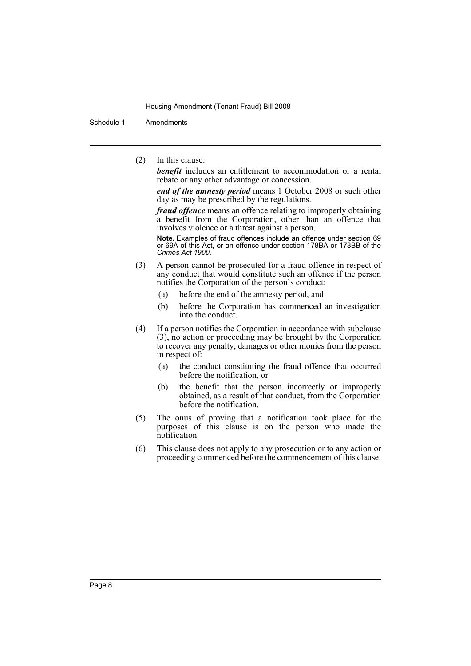Schedule 1 Amendments

(2) In this clause:

*benefit* includes an entitlement to accommodation or a rental rebate or any other advantage or concession.

*end of the amnesty period* means 1 October 2008 or such other day as may be prescribed by the regulations.

*fraud offence* means an offence relating to improperly obtaining a benefit from the Corporation, other than an offence that involves violence or a threat against a person.

**Note.** Examples of fraud offences include an offence under section 69 or 69A of this Act, or an offence under section 178BA or 178BB of the *Crimes Act 1900*.

- (3) A person cannot be prosecuted for a fraud offence in respect of any conduct that would constitute such an offence if the person notifies the Corporation of the person's conduct:
	- (a) before the end of the amnesty period, and
	- (b) before the Corporation has commenced an investigation into the conduct.
- (4) If a person notifies the Corporation in accordance with subclause (3), no action or proceeding may be brought by the Corporation to recover any penalty, damages or other monies from the person in respect of:
	- (a) the conduct constituting the fraud offence that occurred before the notification, or
	- (b) the benefit that the person incorrectly or improperly obtained, as a result of that conduct, from the Corporation before the notification.
- (5) The onus of proving that a notification took place for the purposes of this clause is on the person who made the notification.
- (6) This clause does not apply to any prosecution or to any action or proceeding commenced before the commencement of this clause.